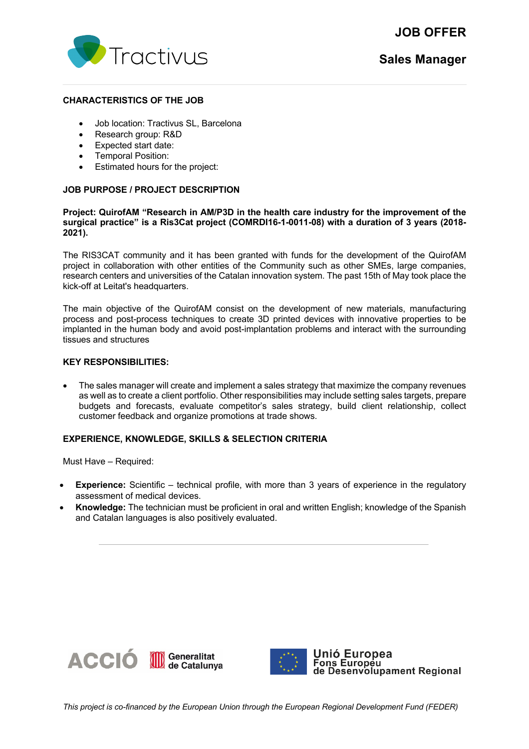



#### **CHARACTERISTICS OF THE JOB**

- Job location: Tractivus SL, Barcelona
- Research group: R&D
- Expected start date:
- Temporal Position:
- Estimated hours for the project:

# **JOB PURPOSE / PROJECT DESCRIPTION**

### **Project: QuirofAM "Research in AM/P3D in the health care industry for the improvement of the surgical practice" is a Ris3Cat project (COMRDI16-1-0011-08) with a duration of 3 years (2018- 2021).**

The RIS3CAT community and it has been granted with funds for the development of the QuirofAM project in collaboration with other entities of the Community such as other SMEs, large companies, research centers and universities of the Catalan innovation system. The past 15th of May took place the kick-off at Leitat's headquarters.

The main objective of the QuirofAM consist on the development of new materials, manufacturing process and post-process techniques to create 3D printed devices with innovative properties to be implanted in the human body and avoid post-implantation problems and interact with the surrounding tissues and structures

## **KEY RESPONSIBILITIES:**

• The sales manager will create and implement a sales strategy that maximize the company revenues as well as to create a client portfolio. Other responsibilities may include setting sales targets, prepare budgets and forecasts, evaluate competitor's sales strategy, build client relationship, collect customer feedback and organize promotions at trade shows.

#### **EXPERIENCE, KNOWLEDGE, SKILLS & SELECTION CRITERIA**

Must Have – Required:

- **Experience:** Scientific technical profile, with more than 3 years of experience in the regulatory assessment of medical devices.
- **Knowledge:** The technician must be proficient in oral and written English; knowledge of the Spanish and Catalan languages is also positively evaluated.